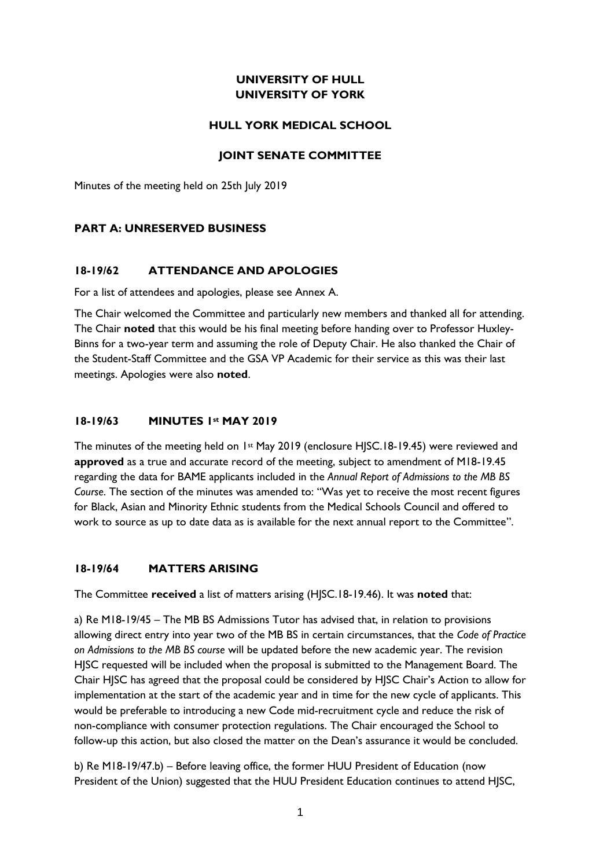# **UNIVERSITY OF HULL UNIVERSITY OF YORK**

## **HULL YORK MEDICAL SCHOOL**

## **JOINT SENATE COMMITTEE**

Minutes of the meeting held on 25th July 2019

## **PART A: UNRESERVED BUSINESS**

## **18-19/62 ATTENDANCE AND APOLOGIES**

For a list of attendees and apologies, please see Annex A.

The Chair welcomed the Committee and particularly new members and thanked all for attending. The Chair **noted** that this would be his final meeting before handing over to Professor Huxley-Binns for a two-year term and assuming the role of Deputy Chair. He also thanked the Chair of the Student-Staff Committee and the GSA VP Academic for their service as this was their last meetings. Apologies were also **noted**.

## **18-19/63 MINUTES 1st MAY 2019**

The minutes of the meeting held on 1<sup>st</sup> May 2019 (enclosure HISC.18-19.45) were reviewed and **approved** as a true and accurate record of the meeting, subject to amendment of M18-19.45 regarding the data for BAME applicants included in the *Annual Report of Admissions to the MB BS Course*. The section of the minutes was amended to: "Was yet to receive the most recent figures for Black, Asian and Minority Ethnic students from the Medical Schools Council and offered to work to source as up to date data as is available for the next annual report to the Committee".

# **18-19/64 MATTERS ARISING**

The Committee **received** a list of matters arising (HJSC.18-19.46). It was **noted** that:

a) Re M18-19/45 – The MB BS Admissions Tutor has advised that, in relation to provisions allowing direct entry into year two of the MB BS in certain circumstances, that the *Code of Practice on Admissions to the MB BS course* will be updated before the new academic year. The revision HJSC requested will be included when the proposal is submitted to the Management Board. The Chair HJSC has agreed that the proposal could be considered by HJSC Chair's Action to allow for implementation at the start of the academic year and in time for the new cycle of applicants. This would be preferable to introducing a new Code mid-recruitment cycle and reduce the risk of non-compliance with consumer protection regulations. The Chair encouraged the School to follow-up this action, but also closed the matter on the Dean's assurance it would be concluded.

b) Re M18-19/47.b) – Before leaving office, the former HUU President of Education (now President of the Union) suggested that the HUU President Education continues to attend HJSC,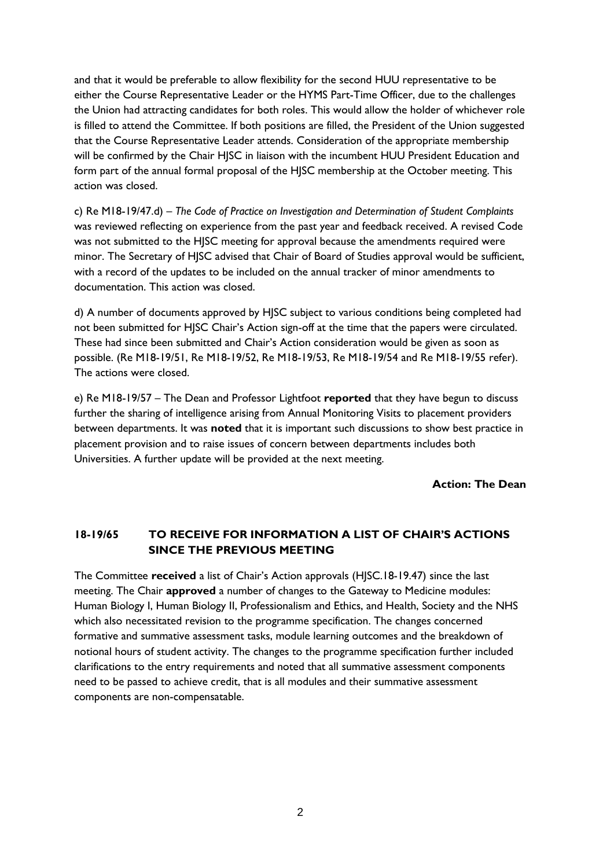and that it would be preferable to allow flexibility for the second HUU representative to be either the Course Representative Leader or the HYMS Part-Time Officer, due to the challenges the Union had attracting candidates for both roles. This would allow the holder of whichever role is filled to attend the Committee. If both positions are filled, the President of the Union suggested that the Course Representative Leader attends. Consideration of the appropriate membership will be confirmed by the Chair HJSC in liaison with the incumbent HUU President Education and form part of the annual formal proposal of the HJSC membership at the October meeting. This action was closed.

c) Re M18-19/47.d) – *The Code of Practice on Investigation and Determination of Student Complaints* was reviewed reflecting on experience from the past year and feedback received. A revised Code was not submitted to the HJSC meeting for approval because the amendments required were minor. The Secretary of HJSC advised that Chair of Board of Studies approval would be sufficient, with a record of the updates to be included on the annual tracker of minor amendments to documentation. This action was closed.

d) A number of documents approved by HJSC subject to various conditions being completed had not been submitted for HJSC Chair's Action sign-off at the time that the papers were circulated. These had since been submitted and Chair's Action consideration would be given as soon as possible. (Re M18-19/51, Re M18-19/52, Re M18-19/53, Re M18-19/54 and Re M18-19/55 refer). The actions were closed.

e) Re M18-19/57 – The Dean and Professor Lightfoot **reported** that they have begun to discuss further the sharing of intelligence arising from Annual Monitoring Visits to placement providers between departments. It was **noted** that it is important such discussions to show best practice in placement provision and to raise issues of concern between departments includes both Universities. A further update will be provided at the next meeting.

**Action: The Dean**

# **18-19/65 TO RECEIVE FOR INFORMATION A LIST OF CHAIR'S ACTIONS SINCE THE PREVIOUS MEETING**

The Committee **received** a list of Chair's Action approvals (HJSC.18-19.47) since the last meeting. The Chair **approved** a number of changes to the Gateway to Medicine modules: Human Biology I, Human Biology II, Professionalism and Ethics, and Health, Society and the NHS which also necessitated revision to the programme specification. The changes concerned formative and summative assessment tasks, module learning outcomes and the breakdown of notional hours of student activity. The changes to the programme specification further included clarifications to the entry requirements and noted that all summative assessment components need to be passed to achieve credit, that is all modules and their summative assessment components are non-compensatable.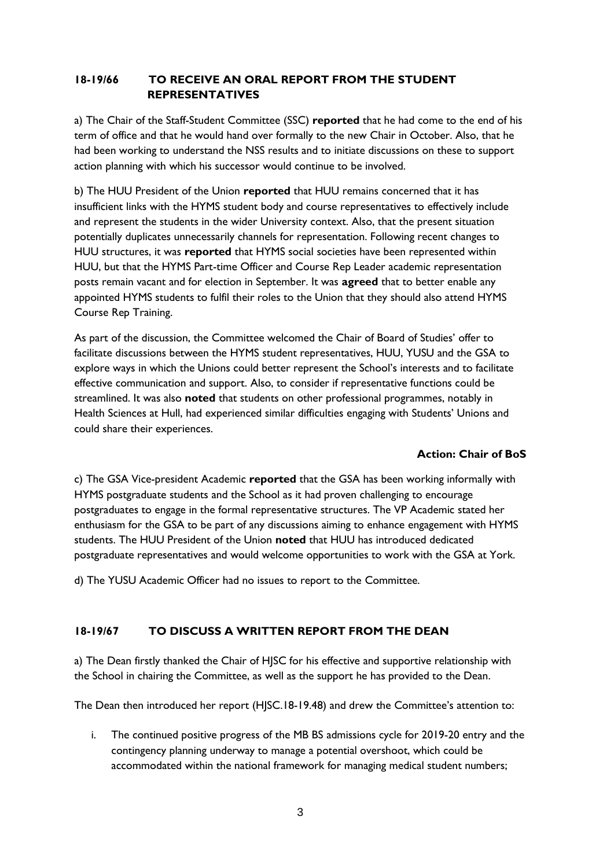# **18-19/66 TO RECEIVE AN ORAL REPORT FROM THE STUDENT REPRESENTATIVES**

a) The Chair of the Staff-Student Committee (SSC) **reported** that he had come to the end of his term of office and that he would hand over formally to the new Chair in October. Also, that he had been working to understand the NSS results and to initiate discussions on these to support action planning with which his successor would continue to be involved.

b) The HUU President of the Union **reported** that HUU remains concerned that it has insufficient links with the HYMS student body and course representatives to effectively include and represent the students in the wider University context. Also, that the present situation potentially duplicates unnecessarily channels for representation. Following recent changes to HUU structures, it was **reported** that HYMS social societies have been represented within HUU, but that the HYMS Part-time Officer and Course Rep Leader academic representation posts remain vacant and for election in September. It was **agreed** that to better enable any appointed HYMS students to fulfil their roles to the Union that they should also attend HYMS Course Rep Training.

As part of the discussion, the Committee welcomed the Chair of Board of Studies' offer to facilitate discussions between the HYMS student representatives, HUU, YUSU and the GSA to explore ways in which the Unions could better represent the School's interests and to facilitate effective communication and support. Also, to consider if representative functions could be streamlined. It was also **noted** that students on other professional programmes, notably in Health Sciences at Hull, had experienced similar difficulties engaging with Students' Unions and could share their experiences.

## **Action: Chair of BoS**

c) The GSA Vice-president Academic **reported** that the GSA has been working informally with HYMS postgraduate students and the School as it had proven challenging to encourage postgraduates to engage in the formal representative structures. The VP Academic stated her enthusiasm for the GSA to be part of any discussions aiming to enhance engagement with HYMS students. The HUU President of the Union **noted** that HUU has introduced dedicated postgraduate representatives and would welcome opportunities to work with the GSA at York.

d) The YUSU Academic Officer had no issues to report to the Committee.

# **18-19/67 TO DISCUSS A WRITTEN REPORT FROM THE DEAN**

a) The Dean firstly thanked the Chair of HJSC for his effective and supportive relationship with the School in chairing the Committee, as well as the support he has provided to the Dean.

The Dean then introduced her report (HJSC.18-19.48) and drew the Committee's attention to:

i. The continued positive progress of the MB BS admissions cycle for 2019-20 entry and the contingency planning underway to manage a potential overshoot, which could be accommodated within the national framework for managing medical student numbers;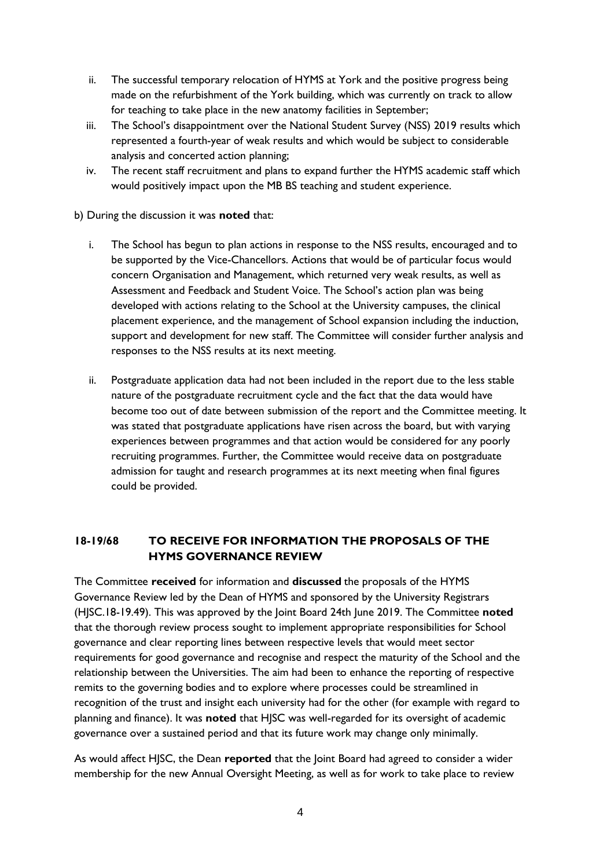- ii. The successful temporary relocation of HYMS at York and the positive progress being made on the refurbishment of the York building, which was currently on track to allow for teaching to take place in the new anatomy facilities in September;
- iii. The School's disappointment over the National Student Survey (NSS) 2019 results which represented a fourth-year of weak results and which would be subject to considerable analysis and concerted action planning;
- iv. The recent staff recruitment and plans to expand further the HYMS academic staff which would positively impact upon the MB BS teaching and student experience.

b) During the discussion it was **noted** that:

- i. The School has begun to plan actions in response to the NSS results, encouraged and to be supported by the Vice-Chancellors. Actions that would be of particular focus would concern Organisation and Management, which returned very weak results, as well as Assessment and Feedback and Student Voice. The School's action plan was being developed with actions relating to the School at the University campuses, the clinical placement experience, and the management of School expansion including the induction, support and development for new staff. The Committee will consider further analysis and responses to the NSS results at its next meeting.
- ii. Postgraduate application data had not been included in the report due to the less stable nature of the postgraduate recruitment cycle and the fact that the data would have become too out of date between submission of the report and the Committee meeting. It was stated that postgraduate applications have risen across the board, but with varying experiences between programmes and that action would be considered for any poorly recruiting programmes. Further, the Committee would receive data on postgraduate admission for taught and research programmes at its next meeting when final figures could be provided.

# **18-19/68 TO RECEIVE FOR INFORMATION THE PROPOSALS OF THE HYMS GOVERNANCE REVIEW**

The Committee **received** for information and **discussed** the proposals of the HYMS Governance Review led by the Dean of HYMS and sponsored by the University Registrars (HJSC.18-19.49). This was approved by the Joint Board 24th June 2019. The Committee **noted**  that the thorough review process sought to implement appropriate responsibilities for School governance and clear reporting lines between respective levels that would meet sector requirements for good governance and recognise and respect the maturity of the School and the relationship between the Universities. The aim had been to enhance the reporting of respective remits to the governing bodies and to explore where processes could be streamlined in recognition of the trust and insight each university had for the other (for example with regard to planning and finance). It was **noted** that HJSC was well-regarded for its oversight of academic governance over a sustained period and that its future work may change only minimally.

As would affect HJSC, the Dean **reported** that the Joint Board had agreed to consider a wider membership for the new Annual Oversight Meeting, as well as for work to take place to review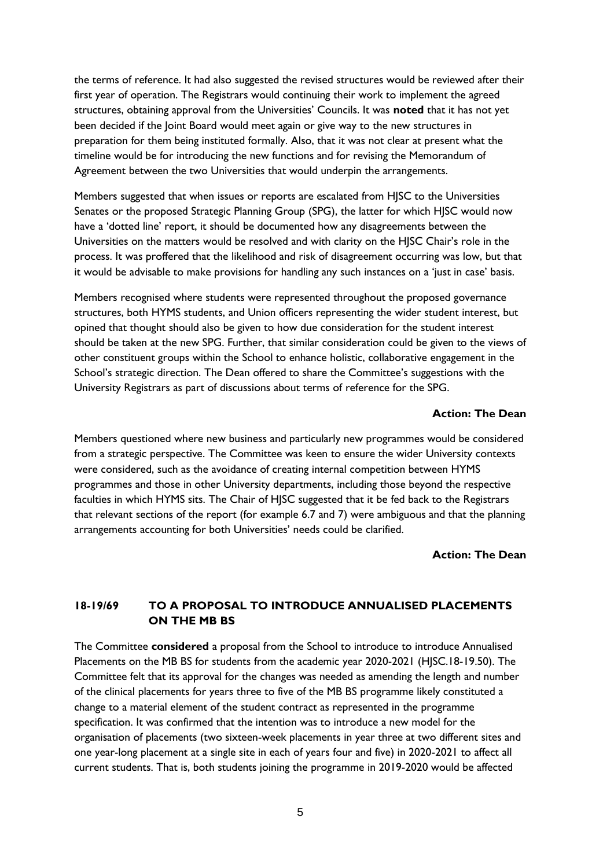the terms of reference. It had also suggested the revised structures would be reviewed after their first year of operation. The Registrars would continuing their work to implement the agreed structures, obtaining approval from the Universities' Councils. It was **noted** that it has not yet been decided if the Joint Board would meet again or give way to the new structures in preparation for them being instituted formally. Also, that it was not clear at present what the timeline would be for introducing the new functions and for revising the Memorandum of Agreement between the two Universities that would underpin the arrangements.

Members suggested that when issues or reports are escalated from HJSC to the Universities Senates or the proposed Strategic Planning Group (SPG), the latter for which HJSC would now have a 'dotted line' report, it should be documented how any disagreements between the Universities on the matters would be resolved and with clarity on the HJSC Chair's role in the process. It was proffered that the likelihood and risk of disagreement occurring was low, but that it would be advisable to make provisions for handling any such instances on a 'just in case' basis.

Members recognised where students were represented throughout the proposed governance structures, both HYMS students, and Union officers representing the wider student interest, but opined that thought should also be given to how due consideration for the student interest should be taken at the new SPG. Further, that similar consideration could be given to the views of other constituent groups within the School to enhance holistic, collaborative engagement in the School's strategic direction. The Dean offered to share the Committee's suggestions with the University Registrars as part of discussions about terms of reference for the SPG.

#### **Action: The Dean**

Members questioned where new business and particularly new programmes would be considered from a strategic perspective. The Committee was keen to ensure the wider University contexts were considered, such as the avoidance of creating internal competition between HYMS programmes and those in other University departments, including those beyond the respective faculties in which HYMS sits. The Chair of HJSC suggested that it be fed back to the Registrars that relevant sections of the report (for example 6.7 and 7) were ambiguous and that the planning arrangements accounting for both Universities' needs could be clarified.

#### **Action: The Dean**

## **18-19/69 TO A PROPOSAL TO INTRODUCE ANNUALISED PLACEMENTS ON THE MB BS**

The Committee **considered** a proposal from the School to introduce to introduce Annualised Placements on the MB BS for students from the academic year 2020-2021 (HJSC.18-19.50). The Committee felt that its approval for the changes was needed as amending the length and number of the clinical placements for years three to five of the MB BS programme likely constituted a change to a material element of the student contract as represented in the programme specification. It was confirmed that the intention was to introduce a new model for the organisation of placements (two sixteen-week placements in year three at two different sites and one year-long placement at a single site in each of years four and five) in 2020-2021 to affect all current students. That is, both students joining the programme in 2019-2020 would be affected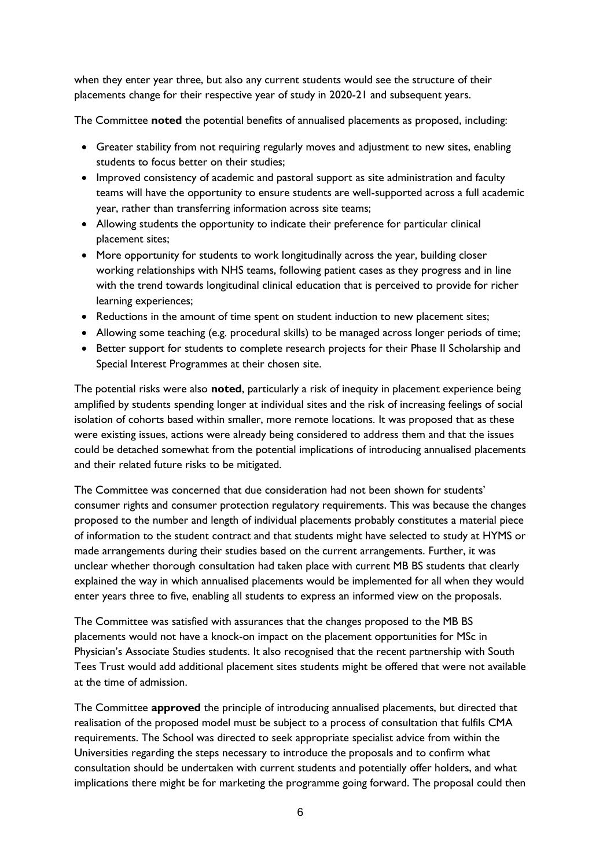when they enter year three, but also any current students would see the structure of their placements change for their respective year of study in 2020-21 and subsequent years.

The Committee **noted** the potential benefits of annualised placements as proposed, including:

- Greater stability from not requiring regularly moves and adjustment to new sites, enabling students to focus better on their studies;
- Improved consistency of academic and pastoral support as site administration and faculty teams will have the opportunity to ensure students are well-supported across a full academic year, rather than transferring information across site teams;
- Allowing students the opportunity to indicate their preference for particular clinical placement sites;
- More opportunity for students to work longitudinally across the year, building closer working relationships with NHS teams, following patient cases as they progress and in line with the trend towards longitudinal clinical education that is perceived to provide for richer learning experiences;
- Reductions in the amount of time spent on student induction to new placement sites;
- Allowing some teaching (e.g. procedural skills) to be managed across longer periods of time;
- Better support for students to complete research projects for their Phase II Scholarship and Special Interest Programmes at their chosen site.

The potential risks were also **noted**, particularly a risk of inequity in placement experience being amplified by students spending longer at individual sites and the risk of increasing feelings of social isolation of cohorts based within smaller, more remote locations. It was proposed that as these were existing issues, actions were already being considered to address them and that the issues could be detached somewhat from the potential implications of introducing annualised placements and their related future risks to be mitigated.

The Committee was concerned that due consideration had not been shown for students' consumer rights and consumer protection regulatory requirements. This was because the changes proposed to the number and length of individual placements probably constitutes a material piece of information to the student contract and that students might have selected to study at HYMS or made arrangements during their studies based on the current arrangements. Further, it was unclear whether thorough consultation had taken place with current MB BS students that clearly explained the way in which annualised placements would be implemented for all when they would enter years three to five, enabling all students to express an informed view on the proposals.

The Committee was satisfied with assurances that the changes proposed to the MB BS placements would not have a knock-on impact on the placement opportunities for MSc in Physician's Associate Studies students. It also recognised that the recent partnership with South Tees Trust would add additional placement sites students might be offered that were not available at the time of admission.

The Committee **approved** the principle of introducing annualised placements, but directed that realisation of the proposed model must be subject to a process of consultation that fulfils CMA requirements. The School was directed to seek appropriate specialist advice from within the Universities regarding the steps necessary to introduce the proposals and to confirm what consultation should be undertaken with current students and potentially offer holders, and what implications there might be for marketing the programme going forward. The proposal could then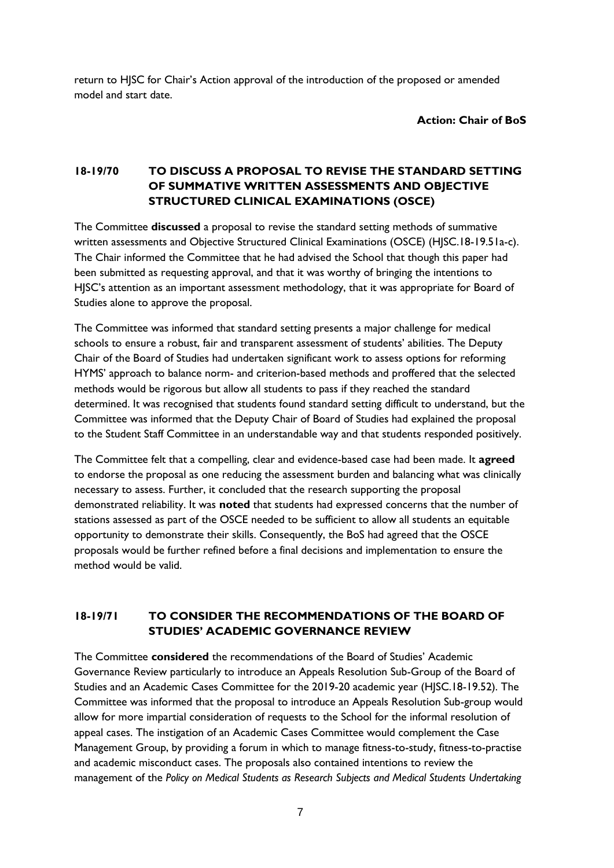return to HJSC for Chair's Action approval of the introduction of the proposed or amended model and start date.

**Action: Chair of BoS**

# **18-19/70 TO DISCUSS A PROPOSAL TO REVISE THE STANDARD SETTING OF SUMMATIVE WRITTEN ASSESSMENTS AND OBJECTIVE STRUCTURED CLINICAL EXAMINATIONS (OSCE)**

The Committee **discussed** a proposal to revise the standard setting methods of summative written assessments and Objective Structured Clinical Examinations (OSCE) (HJSC.18-19.51a-c). The Chair informed the Committee that he had advised the School that though this paper had been submitted as requesting approval, and that it was worthy of bringing the intentions to HJSC's attention as an important assessment methodology, that it was appropriate for Board of Studies alone to approve the proposal.

The Committee was informed that standard setting presents a major challenge for medical schools to ensure a robust, fair and transparent assessment of students' abilities. The Deputy Chair of the Board of Studies had undertaken significant work to assess options for reforming HYMS' approach to balance norm- and criterion-based methods and proffered that the selected methods would be rigorous but allow all students to pass if they reached the standard determined. It was recognised that students found standard setting difficult to understand, but the Committee was informed that the Deputy Chair of Board of Studies had explained the proposal to the Student Staff Committee in an understandable way and that students responded positively.

The Committee felt that a compelling, clear and evidence-based case had been made. It **agreed**  to endorse the proposal as one reducing the assessment burden and balancing what was clinically necessary to assess. Further, it concluded that the research supporting the proposal demonstrated reliability. It was **noted** that students had expressed concerns that the number of stations assessed as part of the OSCE needed to be sufficient to allow all students an equitable opportunity to demonstrate their skills. Consequently, the BoS had agreed that the OSCE proposals would be further refined before a final decisions and implementation to ensure the method would be valid.

# **18-19/71 TO CONSIDER THE RECOMMENDATIONS OF THE BOARD OF STUDIES' ACADEMIC GOVERNANCE REVIEW**

The Committee **considered** the recommendations of the Board of Studies' Academic Governance Review particularly to introduce an Appeals Resolution Sub-Group of the Board of Studies and an Academic Cases Committee for the 2019-20 academic year (HJSC.18-19.52). The Committee was informed that the proposal to introduce an Appeals Resolution Sub-group would allow for more impartial consideration of requests to the School for the informal resolution of appeal cases. The instigation of an Academic Cases Committee would complement the Case Management Group, by providing a forum in which to manage fitness-to-study, fitness-to-practise and academic misconduct cases. The proposals also contained intentions to review the management of the *Policy on Medical Students as Research Subjects and Medical Students Undertaking*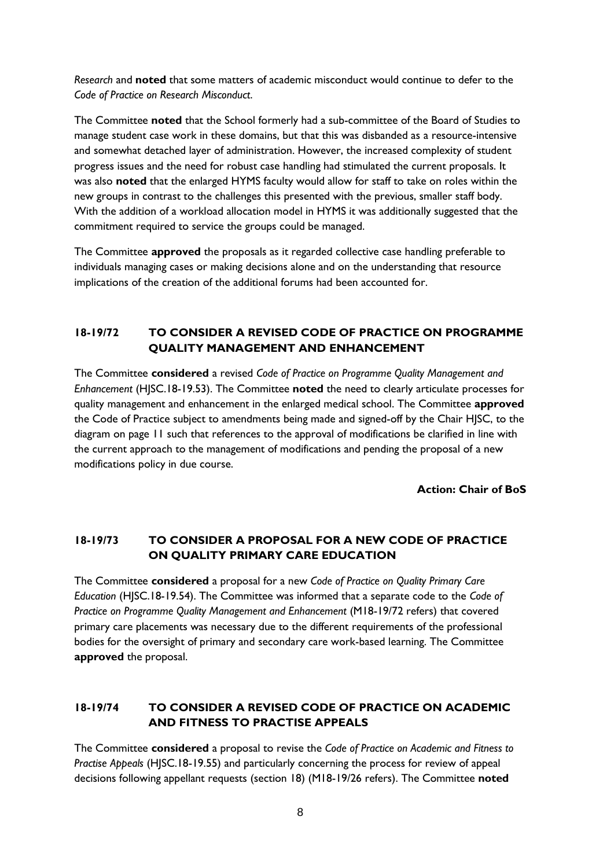*Research* and **noted** that some matters of academic misconduct would continue to defer to the *Code of Practice on Research Misconduct*.

The Committee **noted** that the School formerly had a sub-committee of the Board of Studies to manage student case work in these domains, but that this was disbanded as a resource-intensive and somewhat detached layer of administration. However, the increased complexity of student progress issues and the need for robust case handling had stimulated the current proposals. It was also **noted** that the enlarged HYMS faculty would allow for staff to take on roles within the new groups in contrast to the challenges this presented with the previous, smaller staff body. With the addition of a workload allocation model in HYMS it was additionally suggested that the commitment required to service the groups could be managed.

The Committee **approved** the proposals as it regarded collective case handling preferable to individuals managing cases or making decisions alone and on the understanding that resource implications of the creation of the additional forums had been accounted for.

## **18-19/72 TO CONSIDER A REVISED CODE OF PRACTICE ON PROGRAMME QUALITY MANAGEMENT AND ENHANCEMENT**

The Committee **considered** a revised *Code of Practice on Programme Quality Management and Enhancement* (HJSC.18-19.53). The Committee **noted** the need to clearly articulate processes for quality management and enhancement in the enlarged medical school. The Committee **approved**  the Code of Practice subject to amendments being made and signed-off by the Chair HJSC, to the diagram on page 11 such that references to the approval of modifications be clarified in line with the current approach to the management of modifications and pending the proposal of a new modifications policy in due course.

**Action: Chair of BoS**

# **18-19/73 TO CONSIDER A PROPOSAL FOR A NEW CODE OF PRACTICE ON QUALITY PRIMARY CARE EDUCATION**

The Committee **considered** a proposal for a new *Code of Practice on Quality Primary Care Education* (HJSC.18-19.54). The Committee was informed that a separate code to the *Code of Practice on Programme Quality Management and Enhancement* (M18-19/72 refers) that covered primary care placements was necessary due to the different requirements of the professional bodies for the oversight of primary and secondary care work-based learning. The Committee **approved** the proposal.

# **18-19/74 TO CONSIDER A REVISED CODE OF PRACTICE ON ACADEMIC AND FITNESS TO PRACTISE APPEALS**

The Committee **considered** a proposal to revise the *Code of Practice on Academic and Fitness to Practise Appeals* (HJSC.18-19.55) and particularly concerning the process for review of appeal decisions following appellant requests (section 18) (M18-19/26 refers). The Committee **noted**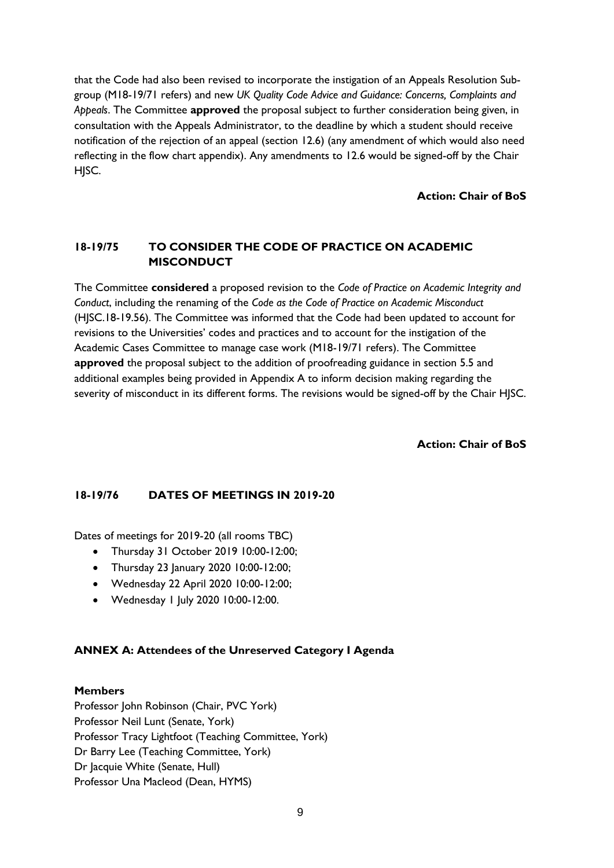that the Code had also been revised to incorporate the instigation of an Appeals Resolution Subgroup (M18-19/71 refers) and new *UK Quality Code Advice and Guidance: Concerns, Complaints and Appeals*. The Committee **approved** the proposal subject to further consideration being given, in consultation with the Appeals Administrator, to the deadline by which a student should receive notification of the rejection of an appeal (section 12.6) (any amendment of which would also need reflecting in the flow chart appendix). Any amendments to 12.6 would be signed-off by the Chair HISC.

**Action: Chair of BoS**

# **18-19/75 TO CONSIDER THE CODE OF PRACTICE ON ACADEMIC MISCONDUCT**

The Committee **considered** a proposed revision to the *Code of Practice on Academic Integrity and Conduct*, including the renaming of the *Code as the Code of Practice on Academic Misconduct* (HJSC.18-19.56). The Committee was informed that the Code had been updated to account for revisions to the Universities' codes and practices and to account for the instigation of the Academic Cases Committee to manage case work (M18-19/71 refers). The Committee **approved** the proposal subject to the addition of proofreading guidance in section 5.5 and additional examples being provided in Appendix A to inform decision making regarding the severity of misconduct in its different forms. The revisions would be signed-off by the Chair HJSC.

**Action: Chair of BoS**

## **18-19/76 DATES OF MEETINGS IN 2019-20**

Dates of meetings for 2019-20 (all rooms TBC)

- Thursday 31 October 2019 10:00-12:00;
- Thursday 23 January 2020 10:00-12:00;
- Wednesday 22 April 2020 10:00-12:00;
- Wednesday 1 July 2020 10:00-12:00.

## **ANNEX A: Attendees of the Unreserved Category I Agenda**

## **Members**

Professor John Robinson (Chair, PVC York) Professor Neil Lunt (Senate, York) Professor Tracy Lightfoot (Teaching Committee, York) Dr Barry Lee (Teaching Committee, York) Dr Jacquie White (Senate, Hull) Professor Una Macleod (Dean, HYMS)